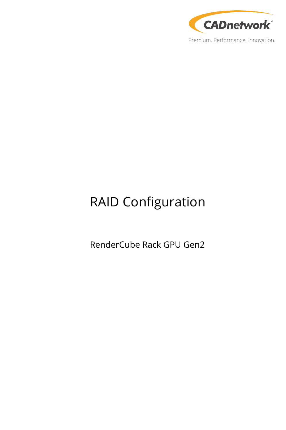

# RAID Configuration

RenderCube Rack GPU Gen2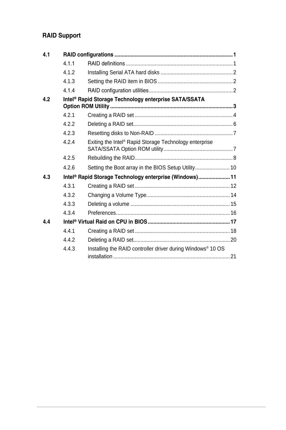### **RAID Support**

| 4.1 |       |                                                                   |  |
|-----|-------|-------------------------------------------------------------------|--|
|     | 4.1.1 |                                                                   |  |
|     | 4.1.2 |                                                                   |  |
|     | 4.1.3 |                                                                   |  |
|     | 4.1.4 |                                                                   |  |
| 4.2 |       | Intel <sup>®</sup> Rapid Storage Technology enterprise SATA/SSATA |  |
|     | 4.2.1 |                                                                   |  |
|     | 4.2.2 |                                                                   |  |
|     | 4.2.3 |                                                                   |  |
|     | 4.2.4 | Exiting the Intel® Rapid Storage Technology enterprise            |  |
|     | 4.2.5 |                                                                   |  |
|     | 4.2.6 | Setting the Boot array in the BIOS Setup Utility 10               |  |
| 43  |       | Intel® Rapid Storage Technology enterprise (Windows) 11           |  |
|     | 4.3.1 |                                                                   |  |
|     | 4.3.2 |                                                                   |  |
|     | 4.3.3 |                                                                   |  |
|     | 4.3.4 |                                                                   |  |
| 44  |       |                                                                   |  |
|     | 4.4.1 |                                                                   |  |
|     | 4.4.2 |                                                                   |  |
|     | 4.4.3 | Installing the RAID controller driver during Windows® 10 OS       |  |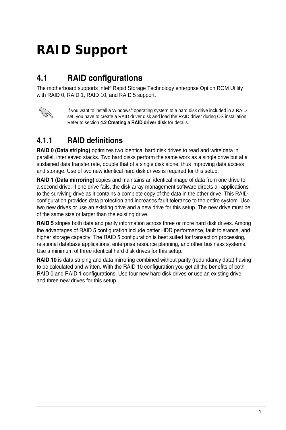# <span id="page-2-0"></span>**RAID Support**

# **4.1 RAID configurations**

The motherboard supports Intel® Rapid Storage Technology enterprise Option ROM Utility with RAID 0, RAID 1, RAID 10, and RAID 5 support.



If you want to install a Windows® operating system to a hard disk drive included in a RAID set, you have to create a RAID driver disk and load the RAID driver during OS installation. Refer to section **4.2 Creating a RAID driver disk** for details.

# **4.1.1 RAID definitions**

**RAID 0 (Data striping)** optimizes two identical hard disk drives to read and write data in parallel, interleaved stacks. Two hard disks perform the same work as a single drive but at a sustained data transfer rate, double that of a single disk alone, thus improving data access and storage. Use of two new identical hard disk drives is required for this setup.

**RAID 1 (Data mirroring)** copies and maintains an identical image of data from one drive to a second drive. If one drive fails, the disk array management software directs all applications to the surviving drive as it contains a complete copy of the data in the other drive. This RAID configuration provides data protection and increases fault tolerance to the entire system. Use two new drives or use an existing drive and a new drive for this setup. The new drive must be of the same size or larger than the existing drive.

**RAID 5** stripes both data and parity information across three or more hard disk drives. Among the advantages of RAID 5 configuration include better HDD performance, fault tolerance, and higher storage capacity. The RAID 5 configuration is best suited for transaction processing. relational database applications, enterprise resource planning, and other business systems. Use a minimum of three identical hard disk drives for this setup.

**RAID 10** is data striping and data mirroring combined without parity (redundancy data) having to be calculated and written. With the RAID 10 configuration you get all the benefits of both RAID 0 and RAID 1 configurations. Use four new hard disk drives or use an existing drive and three new drives for this setup.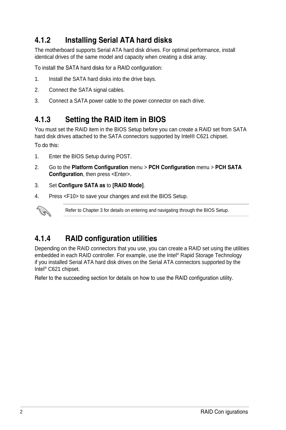# <span id="page-3-0"></span>**4.1.2 Installing Serial ATA hard disks**

The motherboard supports Serial ATA hard disk drives. For optimal performance, install identical drives of the same model and capacity when creating a disk array.

To install the SATA hard disks for a RAID configuration:

- 1. Install the SATA hard disks into the drive bays.
- 2. Connect the SATA signal cables.
- 3. Connect a SATA power cable to the power connector on each drive.

## **4.1.3 Setting the RAID item in BIOS**

You must set the RAID item in the BIOS Setup before you can create a RAID set from SATA hard disk drives attached to the SATA connectors supported by Intel® C621 chipset. To do this:

- 1. Enter the BIOS Setup during POST.
- 2. Go to the **Platform Configuration** menu > **PCH Configuration** menu > **PCH SATA Configuration**, then press <Enter>.
- 3. Set **Configure SATA as** to **[RAID Mode]**.
- 4. Press <F10> to save your changes and exit the BIOS Setup.



Refer to Chapter 3 for details on entering and navigating through the BIOS Setup.

# **4.1.4 RAID configuration utilities**

Depending on the RAID connectors that you use, you can create a RAID set using the utilities embedded in each RAID controller. For example, use the Intel® Rapid Storage Technology if you installed Serial ATA hard disk drives on the Serial ATA connectors supported by the Intel® C621 chipset.

Refer to the succeeding section for details on how to use the RAID configuration utility.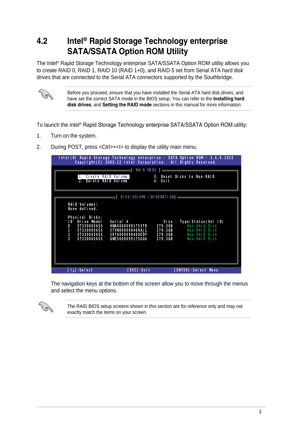# **4.2 Intel® Rapid Storage Technology enterprise SATA/SSATA Option ROM Utility**

The Intel® Rapid Storage Technology enterprise SATA/SSATA Option ROM utility allows you to create RAID 0, RAID 1, RAID 10 (RAID 1+0), and RAID 5 set from Serial ATA hard disk drives that are connected to the Serial ATA connectors supported by the Southbridge.



Before you proceed, ensure that you have installed the Serial ATA hard disk drives, and have set the correct SATA mode in the BIOS setup. You can refer to the **Installing hard disk drives**, and **Setting the RAID mode** sections in this manual for more information.

To launch the Intel® Rapid Storage Technology enterprise SATA/SSATA Option ROM utility:

- 1. Turn on the system.
- 2. During POST, press < Ctrl>+<l> to display the utility main menu.

| Intel(R) Rapid Storage Technology enterprise - SATA Option ROM - 3.6.0.1023<br>Copyright(C) 2003-12 Intel Corporation. All Rights Reserved.                                    |                                                                                                                                            |                                                  |                                                                                         |  |  |  |
|--------------------------------------------------------------------------------------------------------------------------------------------------------------------------------|--------------------------------------------------------------------------------------------------------------------------------------------|--------------------------------------------------|-----------------------------------------------------------------------------------------|--|--|--|
| $=$ [ MAIN MENU ] $=$<br>1. Create RAID Volume<br>3. Reset Disks to Non-RAID<br>2. Delete RAID Volume<br>4. Exit                                                               |                                                                                                                                            |                                                  |                                                                                         |  |  |  |
| RAID Volumes:<br>None defined.<br>Physical Disks:<br>Drive Model<br>ID<br>ST3300656SS<br>0<br>1<br>ST3300656SS<br>$\overline{a}$<br>ST3300656SS<br>$\mathbf{R}$<br>ST3300656SS | $=$ [ $_{\text{DISK/VOLUME}}$ INFORMATION] $=$<br>Serial #<br>HWAS0000991753TR<br>37VN00009846RAJ1<br>397600009846UEDY<br>GWC50000991756G6 | Size<br>279.3GB<br>279.3GB<br>279.3GB<br>279.3GB | Type/Status(Vol ID)<br>Non-RAID Disk<br>Non-RAID Disk<br>Non-RAID Disk<br>Non-RAID Disk |  |  |  |
| $[1]$ -Select                                                                                                                                                                  | [ESC]-Exit                                                                                                                                 |                                                  | [ENTER]-Select Menu                                                                     |  |  |  |

The navigation keys at the bottom of the screen allow you to move through the menus and select the menu options.



The RAID BIOS setup screens shown in this section are for reference only and may not exactly match the items on your screen.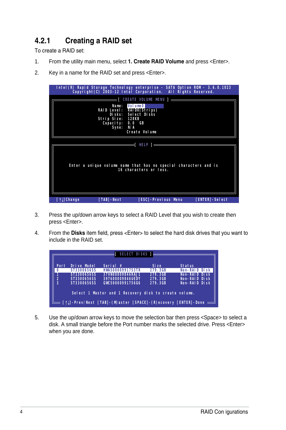# **4.2.1 Creating a RAID set**

To create a RAID set:

- 1. From the utility main menu, select **1. Create RAID Volume** and press <Enter>.
- 2. Key in a name for the RAID set and press <Enter>.



- 3. Press the up/down arrow keys to select a RAID Level that you wish to create then press <Enter>.
- 4. From the **Disks** item field, press <Enter> to select the hard disk drives that you want to include in the RAID set.

| Drive Model | Serial #         | Size    | Status        |
|-------------|------------------|---------|---------------|
| ST3300656SS | HWAS0000991753TR | 279.3GB | Non-RAID Disk |
| ST3300656SS | 37VN00009846RAJ1 | 279.3GB | Non-RAID Disk |
| ST3300656SS | 397600009846UEDY | 279.3GB | Non-RAID Disk |
| ST3300656SS | GWC50000991756G6 | 279.3GB | Non-RAID Disk |
|             |                  |         |               |

5. Use the up/down arrow keys to move the selection bar then press <Space> to select a disk. A small triangle before the Port number marks the selected drive. Press <Enter> when you are done.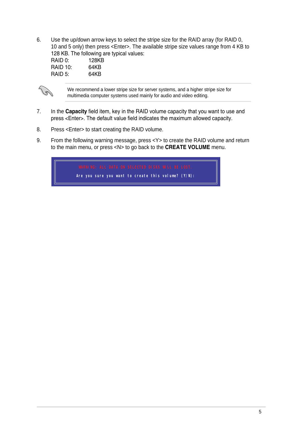6. Use the up/down arrow keys to select the stripe size for the RAID array (for RAID 0, 10 and 5 only) then press <Enter>. The available stripe size values range from 4 KB to 128 KB. The following are typical values:

| 128KB |
|-------|
| 64KB  |
| 64KB  |
|       |



We recommend a lower stripe size for server systems, and a higher stripe size for multimedia computer systems used mainly for audio and video editing.

- 7. In the **Capacity** field item, key in the RAID volume capacity that you want to use and press <Enter>. The default value field indicates the maximum allowed capacity.
- 8. Press <Enter> to start creating the RAID volume.
- 9. From the following warning message, press <Y> to create the RAID volume and return to the main menu, or press <N> to go back to the **CREATE VOLUME** menu.

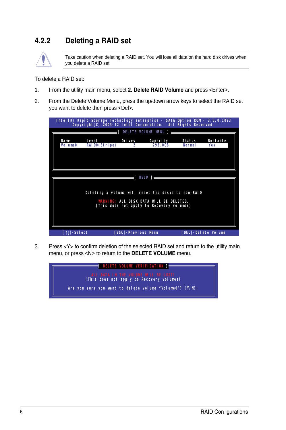### **4.2.2 Deleting a RAID set**



Take caution when deleting a RAID set. You will lose all data on the hard disk drives when you delete a RAID set.

#### To delete a RAID set:

- 1. From the utility main menu, select **2. Delete RAID Volume** and press <Enter>.
- 2. From the Delete Volume Menu, press the up/down arrow keys to select the RAID set you want to delete then press <Del>.

|      |                         | Intel(R) Rapid Storage Technology enterprise - SATA Option ROM - 3.6.0.1023<br>Copyright(C) 2003-12 Intel Corporation. All Rights Reserved. |                            |                         |                     |
|------|-------------------------|---------------------------------------------------------------------------------------------------------------------------------------------|----------------------------|-------------------------|---------------------|
|      |                         |                                                                                                                                             | DELETE VOLUME MENU ] _____ |                         |                     |
| Name | Volume0 RAIDO(Stripe) 2 | Level Drives Capacity                                                                                                                       | 298.0GB                    | Status<br><b>Normal</b> | Bootable<br>Yes     |
|      |                         |                                                                                                                                             |                            |                         |                     |
|      |                         |                                                                                                                                             |                            |                         |                     |
|      |                         |                                                                                                                                             |                            |                         |                     |
|      |                         | Deleting a volume will reset the disks to non-RAID                                                                                          |                            |                         |                     |
|      |                         | WARNING: ALL DISK DATA WILL BE DELETED.<br>(This does not apply to Recovery volumes)                                                        |                            |                         |                     |
|      |                         |                                                                                                                                             |                            |                         |                     |
|      |                         |                                                                                                                                             |                            |                         |                     |
|      | $[1]$ -Select           | [ESC]-Previous Menu                                                                                                                         |                            |                         | [DEL]-Delete Volume |

3. Press <Y> to confirm deletion of the selected RAID set and return to the utility main menu, or press <N> to return to the **DELETE VOLUME** menu.

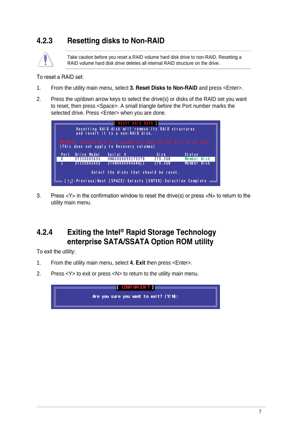## **4.2.3 Resetting disks to Non-RAID**



Take caution before you reset a RAID volume hard disk drive to non-RAID. Resetting a RAID volume hard disk drive deletes all internal RAID structure on the drive.

#### To reset a RAID set:

- 1. From the utility main menu, select **3. Reset Disks to Non-RAID** and press <Enter>.
- 2. Press the up/down arrow keys to select the drive(s) or disks of the RAID set you want to reset, then press <Space>. A small triangle before the Port number marks the selected drive. Press <Enter> when you are done.



3. Press <Y> in the confirmation window to reset the drive(s) or press <N> to return to the utility main menu.

### **4.2.4 Exiting the Intel® Rapid Storage Technology enterprise SATA/SSATA Option ROM utility**

To exit the utility:

- 1. From the utility main menu, select **4. Exit** then press <Enter>.
- 2. Press <Y> to exit or press <N> to return to the utility main menu.

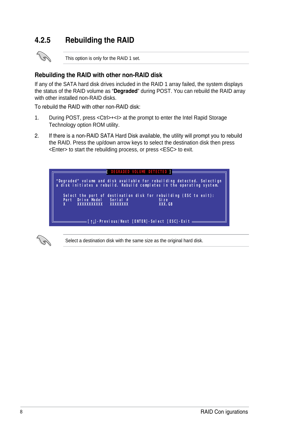### **4.2.5 Rebuilding the RAID**



This option is only for the RAID 1 set.

#### **Rebuilding the RAID with other non-RAID disk**

If any of the SATA hard disk drives included in the RAID 1 array failed, the system displays the status of the RAID volume as "**Degraded**" during POST. You can rebuild the RAID array with other installed non-RAID disks

To rebuild the RAID with other non-RAID disk:

- 1. During POST, press <Ctrl>+<I> at the prompt to enter the Intel Rapid Storage Technology option ROM utility.
- 2. If there is a non-RAID SATA Hard Disk available, the utility will prompt you to rebuild the RAID. Press the up/down arrow keys to select the destination disk then press <Enter> to start the rebuilding process, or press <ESC> to exit.





Select a destination disk with the same size as the original hard disk.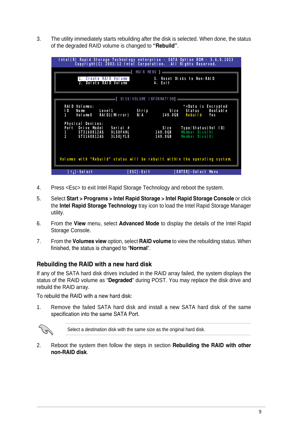3. The utility immediately starts rebuilding after the disk is selected. When done, the status of the degraded RAID volume is changed to **"Rebuild"**.

| Intel(R) Rapid Storage Technology enterprise - SATA Option ROM - 3.6.0.1023 |                                                                          | Copyright(C) 2003-12 Intel Corporation. All Rights Reserved. |                     |
|-----------------------------------------------------------------------------|--------------------------------------------------------------------------|--------------------------------------------------------------|---------------------|
|                                                                             | $\equiv$ MAIN MENU ] $\equiv$                                            |                                                              |                     |
| 2. Delete RAID Volume                                                       | 4. Exit                                                                  | 1. Create RAID Volume 3. Reset Disks to Non-RAID             |                     |
|                                                                             |                                                                          |                                                              |                     |
|                                                                             | $\qquad \qquad \qquad = \qquad \qquad \text{I DISK/VOLUME INFORMATION]}$ |                                                              |                     |
| RAID Volumes:                                                               |                                                                          |                                                              | *=Data is Encrypted |
| ID<br>Name                                                                  | Level1 Strip Size                                                        | Status                                                       | Bootable            |
| Volume0 RAID1(Mirror) N/A<br>1                                              |                                                                          | 149.0GB                                                      | Rebuild Yes         |
| Physical Devices:                                                           |                                                                          |                                                              |                     |
| Port Drive Model Serial #                                                   |                                                                          | Size                                                         | Type/Status(Vol ID) |
| 1 ST3160812AS 9LS0F4HL                                                      |                                                                          | 149.0GB<br>Member Disk(0)                                    |                     |
| $\overline{2}$<br>ST3160812AS 3LS0JYL8                                      |                                                                          | Member Disk(0)<br>149.0GB                                    |                     |
|                                                                             |                                                                          |                                                              |                     |
|                                                                             |                                                                          |                                                              |                     |
| Volumes with "Rebuild" status will be rebuilt within the operating system.  |                                                                          |                                                              |                     |
| [1]-Select                                                                  | $[ESC]$ - $Exit$                                                         | [ENTER]-Select Menu                                          |                     |

- 4. Press <Esc> to exit Intel Rapid Storage Technology and reboot the system.
- 5. Select **Start > Programs > Intel Rapid Storage > Intel Rapid Storage Console** or click the **Intel Rapid Storage Technology** tray icon to load the Intel Rapid Storage Manager utility.
- 6. From the **View** menu, select **Advanced Mode** to display the details of the Intel Rapid Storage Console.
- 7. From the **Volumes view** option, select **RAID volume** to view the rebuilding status. When finished, the status is changed to "**Normal**".

#### **Rebuilding the RAID with a new hard disk**

If any of the SATA hard disk drives included in the RAID array failed, the system displays the status of the RAID volume as "**Degraded**" during POST. You may replace the disk drive and rebuild the RAID array.

To rebuild the RAID with a new hard disk:

1. Remove the failed SATA hard disk and install a new SATA hard disk of the same specification into the same SATA Port.



Select a destination disk with the same size as the original hard disk.

2. Reboot the system then follow the steps in section **Rebuilding the RAID with other non-RAID disk**.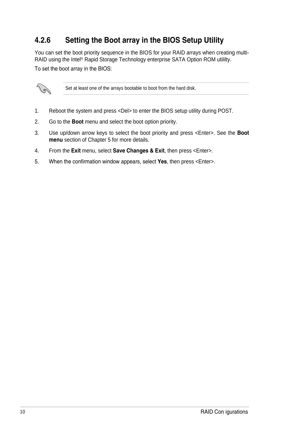### **4.2.6 Setting the Boot array in the BIOS Setup Utility**

You can set the boot priority sequence in the BIOS for your RAID arrays when creating multi-RAID using the Intel® Rapid Storage Technology enterprise SATA Option ROM utililty.

To set the boot array in the BIOS:



Set at least one of the arrays bootable to boot from the hard disk.

- 1. Reboot the system and press <Del> to enter the BIOS setup utility during POST.
- 2. Go to the **Boot** menu and select the boot option priority.
- 3. Use up/down arrow keys to select the boot priority and press <Enter>. See the **Boot menu** section of Chapter 5 for more details.
- 4. From the **Exit** menu, select **Save Changes & Exit**, then press <Enter>.
- 5. When the confirmation window appears, select **Yes**, then press <Enter>.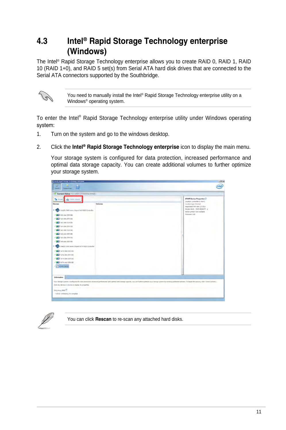# **4.3 Intel® Rapid Storage Technology enterprise (Windows)**

The Intel® Rapid Storage Technology enterprise allows you to create RAID 0, RAID 1, RAID 10 (RAID 1+0), and RAID 5 set(s) from Serial ATA hard disk drives that are connected to the Serial ATA connectors supported by the Southbridge.



You need to manually install the Intel® Rapid Storage Technology enterprise utility on a Windows® operating system.

To enter the Intel® Rapid Storage Technology enterprise utility under Windows operating system:

- 1. Turn on the system and go to the windows desktop.
- 2. Click the **Intel® Rapid Storage Technology enterprise** icon to display the main menu.

Your storage system is configured for data protection, increased performance and optimal data storage capacity. You can create additional volumes to further optimize your storage system.

| 21<br>L<br><b>Horsey of</b><br>Home.                                                                                                                                                                                                                                                                                                                                                                                                                                                                                                                                      | intel)                                                                                                                                                                                                            |
|---------------------------------------------------------------------------------------------------------------------------------------------------------------------------------------------------------------------------------------------------------------------------------------------------------------------------------------------------------------------------------------------------------------------------------------------------------------------------------------------------------------------------------------------------------------------------|-------------------------------------------------------------------------------------------------------------------------------------------------------------------------------------------------------------------|
| Current Status Your system is functioning normalis-                                                                                                                                                                                                                                                                                                                                                                                                                                                                                                                       |                                                                                                                                                                                                                   |
| <b>ONE CREW COLONE</b><br><b>Devices</b><br><b>Valumes</b><br>Smith (800 series dignet SAT 64th Controller)<br>THE R P. LEWIS CO., LANSING MICH.<br>- <b>SEV</b> NAT BIRLOWED AT<br><b>THEY</b> SAS OUR COVIDE<br><b>CEV</b> successforces<br><b>CAN</b> SAS BUX (SOF CIT)<br>- <b>CALI</b> SAS dia (551 GB)<br>- THE SAS AN ONE CALL<br><b>CALL</b> SAS 018 (339 GB)<br><b>Intellity Loop series chipset sATA RAJD Controller</b><br><b>CO VATA SECTION CO-</b><br><b>CEV</b> tata no pro co-<br>GO VATA BRITISH CO.<br><b>ISS RED ANTAL ATTACK</b><br><b>CONTRACTOR</b> | <b>ATAPI Device Properties (2)</b><br>Location: Controller U. Port S.<br>Leication type: Snormal<br>hranotiated link rate: L.S.Ch.it<br>Model ABUS. DVD-EELIATT #<br>Serial number non available<br>Firmages 1.00 |
| Information<br>Your througe system is configured for data perception, increased performance and optimal data emotion copycity. You can further egitiman your strongy system by customa politicianal income, The begin the process, click Chem<br>Club any derive to volume to steplay At properties.<br>545 Ansy 0000<br>. Elizab initializing 2% complete                                                                                                                                                                                                                |                                                                                                                                                                                                                   |



You can click **Rescan** to re-scan any attached hard disks.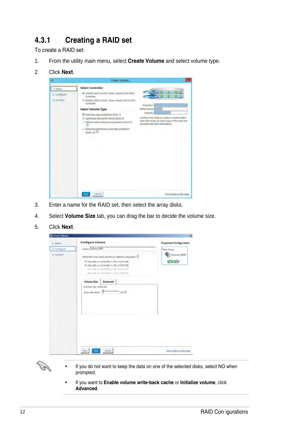# **4.3.1 Creating a RAID set**

To create a RAID set:

- 1. From the utility main menu, select **Create Volume** and select volume type.
- 2. Click **Next**.



- 3. Enter a name for the RAID set, then select the array disks.
- 4. Select **Volume Size** tab, you can drag the bar to decide the volume size.
- 5. Click **Next**.

| 1. Select    | <b>Configure Volume</b>                                                                                                                                                                                                                                                                                                           | <b>Proposed Configuration</b> |
|--------------|-----------------------------------------------------------------------------------------------------------------------------------------------------------------------------------------------------------------------------------------------------------------------------------------------------------------------------------|-------------------------------|
| 2. Configure | Name: Volume_0000                                                                                                                                                                                                                                                                                                                 | New Array                     |
| 3. Confirm   | Select the array disks (minimum selection required):<br>V SAS disk on Controller 1, Phy 0 (279 GB)<br>V SAS disk on Controller 1, Phy 2 (279 GB)<br>5AN YOR ON CONTINUES, Phy A (279 GB)<br>5AS citie on Controller 1, 19y 6 (279 GB).<br>Volume Size<br>Advanced<br>Volume Size 4,468 MB<br>Array allocation:<br><b>Sec. 269</b> | Volume_0000<br><b>CICI</b>    |
|              |                                                                                                                                                                                                                                                                                                                                   |                               |

- 13
- If you do not want to keep the data on one of the selected disks, select NO when prompted.
- If you want to **Enable volume write-back cache** or **Initialize volume**, click **Advanced**.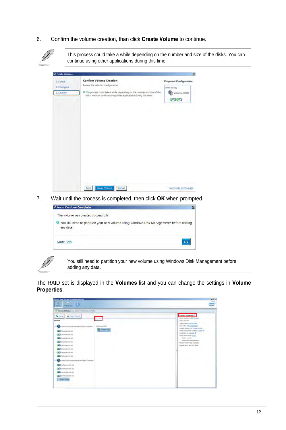6. Confirm the volume creation, than click **Create Volume** to continue.

| <b>Coreate Volume</b><br>1. Select | <b>Confirm Volume Creation</b><br>Review the selected configuration.                                                                            | ×<br><b>Proposed Configuration</b> |
|------------------------------------|-------------------------------------------------------------------------------------------------------------------------------------------------|------------------------------------|
| 2. Configure<br>3. Confirm         | O This process could take a while depending on the number and size of the<br>disks. You can continue using other applications during this time. | New Array<br>Volume 0000           |
|                                    |                                                                                                                                                 | ere                                |
|                                    |                                                                                                                                                 |                                    |
|                                    |                                                                                                                                                 |                                    |
|                                    |                                                                                                                                                 |                                    |
|                                    |                                                                                                                                                 |                                    |
|                                    |                                                                                                                                                 |                                    |
|                                    |                                                                                                                                                 |                                    |
|                                    |                                                                                                                                                 |                                    |

7. Wait until the process is completed, then click **OK** when prompted.

| <b>Volume Creation Complete</b>                                                                         | $\mathbf{x}$ |
|---------------------------------------------------------------------------------------------------------|--------------|
| The volume was created successfully.                                                                    |              |
| O You still need to partition your new volume using Windows Disk Management* before adding<br>any data. |              |
| More help                                                                                               |              |

 $\sim$ 

You still need to partition your new volume using Windows Disk Management before adding any data.

The RAID set is displayed in the **Volumes** list and you can change the settings in **Volume Properties**.

| в<br>30<br>Profession L.<br><b>Pinty</b>                                                                                                                                                                                                                                                                                                                                                                                                                                                                                                | $n \times n$<br>(intel)                                                                                                                                                                                                                                                                                                                                                                |
|-----------------------------------------------------------------------------------------------------------------------------------------------------------------------------------------------------------------------------------------------------------------------------------------------------------------------------------------------------------------------------------------------------------------------------------------------------------------------------------------------------------------------------------------|----------------------------------------------------------------------------------------------------------------------------------------------------------------------------------------------------------------------------------------------------------------------------------------------------------------------------------------------------------------------------------------|
| Current Status vou coter o Lomanny normale                                                                                                                                                                                                                                                                                                                                                                                                                                                                                              |                                                                                                                                                                                                                                                                                                                                                                                        |
| To health and Chine Villene,<br><b>Service</b><br><b>Devices</b><br>LISE, NYAY, DOLD<br>Intellity callo series chipset p.d. AADD Comroller<br>- 63<br>To Lynnane Gold<br>- CAS IS AN OTH CO.<br>- The state of the con-<br>- Call Sea des Greven<br>- Call tat six mix on<br>· Call SAS disk clue our<br>- Call sas ma con car<br>US FFR 60 AM LET<br>anality CS00 series chipset SkTa RA20 Commiler<br>- Call sale date che call<br>· Call of the maintain call<br><b>SEP NO ATA SEP</b><br>- Call 1474 Sak 259 CO<br><b>STATUTOWA</b> | Volume Properties<br>Nime Volume 2005 Scope<br><b>Status Normal</b><br>Type 6320 I Change hope<br>Sing 1-848 Mil Surveys sing<br>Symmetries Ave Dates scients<br>Virte block carbe Counted Shattle C<br>Intellection for Editor<br>Verdusiten details Verd-<br><b>Ranky smort, R</b><br>Situiki with media ambre O<br>Physical bactor size 113 Sykes<br>Logical rector size \$12 Butes |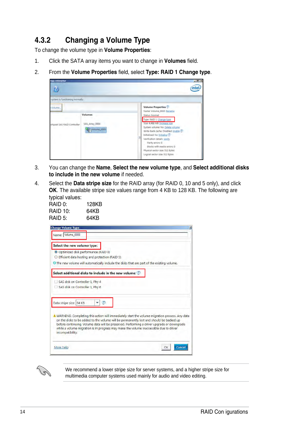# **4.3.2 Changing a Volume Type**

To change the volume type in **Volume Properties**:

- 1. Click the SATA array items you want to change in **Volumes** field.
- 2. From the **Volume Properties** field, select **Type: RAID 1 Change type**.

| logy enterprise                        |                                                 |                                                                                                                                                                                                                                                                                                                                                                                                  | $-16x$ |
|----------------------------------------|-------------------------------------------------|--------------------------------------------------------------------------------------------------------------------------------------------------------------------------------------------------------------------------------------------------------------------------------------------------------------------------------------------------------------------------------------------------|--------|
| system is functioning normally.        |                                                 |                                                                                                                                                                                                                                                                                                                                                                                                  |        |
| Vilume.<br>chipset SAS RAID Controller | <b>Volumes</b><br>SAS_Array_0000<br>Volume_0000 | <b>Volume Properties</b><br>Name: Volume_0000 Rename<br>Stabus: Normal<br>Type: RAID 1 Change type<br>Size: 4,468 MB Increase size<br>System volume: No Delete volume<br>Write-back cache: Disabled Enable<br>Initialized: No Initialize<br>Verification details Verify<br>Parity errors: 0<br>illocks with media errors: 0<br>Physical sector size: 512 Bytes<br>Logical sector size: 512 Bytes |        |

- 3. You can change the **Name**, **Select the new volume type**, and **Select additional disks to include in the new volume** if needed.
- 4. Select the **Data stripe size** for the RAID array (for RAID 0, 10 and 5 only), and click **OK**. The available stripe size values range from 4 KB to 128 KB. The following are typical values:

| RAID 0:  | 128KB |
|----------|-------|
| RAID 10: | 64KB  |
| RAID 5:  | 64KB  |

| <b>Change Volume Type</b>                         |         |                                                       |                                                                                                                                                                                      | 図     |
|---------------------------------------------------|---------|-------------------------------------------------------|--------------------------------------------------------------------------------------------------------------------------------------------------------------------------------------|-------|
| Name: Volume_0000                                 |         |                                                       |                                                                                                                                                                                      |       |
| Select the new volume type:                       |         |                                                       |                                                                                                                                                                                      |       |
| © Optimized disk performance (RAID 0)             |         |                                                       |                                                                                                                                                                                      |       |
| ○ Efficient data hosting and protection (RAID 5). |         |                                                       |                                                                                                                                                                                      |       |
|                                                   |         |                                                       | The new volume will automatically include the disks that are part of the existing volume.                                                                                            |       |
|                                                   |         | Select additional disks to include in the new volume: |                                                                                                                                                                                      |       |
| SAS disk on Controller 1, Phy 4                   |         |                                                       |                                                                                                                                                                                      |       |
| SAS disk on Controller 1, Phy 6                   |         |                                                       |                                                                                                                                                                                      |       |
|                                                   |         |                                                       |                                                                                                                                                                                      |       |
|                                                   |         |                                                       |                                                                                                                                                                                      |       |
| Data stripe size: 64 KB                           | $\circ$ |                                                       |                                                                                                                                                                                      |       |
|                                                   |         |                                                       |                                                                                                                                                                                      |       |
|                                                   |         |                                                       | A WARNING: Completing this action will immediately start the volume migration process. Any data                                                                                      |       |
|                                                   |         |                                                       | on the disks to be added to the volume will be permanently lost and should be backed up                                                                                              |       |
|                                                   |         |                                                       | before continuing, Volume data will be preserved. Performing a driver upgrade or downgrade<br>while a volume migration is in progress may make the volume inaccessible due to driver |       |
| incompatibility.                                  |         |                                                       |                                                                                                                                                                                      |       |
|                                                   |         |                                                       |                                                                                                                                                                                      |       |
| More help                                         |         |                                                       |                                                                                                                                                                                      | Cance |
|                                                   |         |                                                       |                                                                                                                                                                                      |       |

We recommend a lower stripe size for server systems, and a higher stripe size for multimedia computer systems used mainly for audio and video editing.

131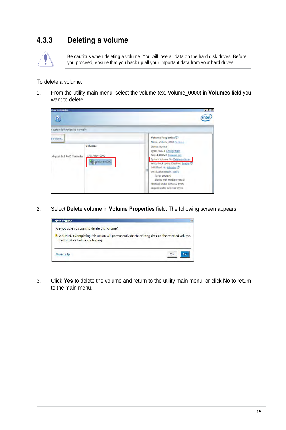### **4.3.3 Deleting a volume**



Be cautious when deleting a volume. You will lose all data on the hard disk drives. Before you proceed, ensure that you back up all your important data from your hard drives.

To delete a volume:

1. From the utility main menu, select the volume (ex. Volume\_0000) in **Volumes** field you want to delete.

| logy enterprise                       |                                                 | $-0 \times$                                                                                                                                                                                                                                                                                                                                                                                             |
|---------------------------------------|-------------------------------------------------|---------------------------------------------------------------------------------------------------------------------------------------------------------------------------------------------------------------------------------------------------------------------------------------------------------------------------------------------------------------------------------------------------------|
| system is functioning normally.       |                                                 |                                                                                                                                                                                                                                                                                                                                                                                                         |
| Volume<br>chipset SAS RAID Controller | <b>Volumes</b><br>SAS Array 0000<br>Volume 0000 | <b>Volume Properties</b><br>Name: Volume_0000_Rename<br><b>Status: Normal</b><br>Type: RAID 1 Change type<br>Size: 4,468 MB Increase size<br>System volume: No Delate volume<br>Write-back cache: Disabled Enable<br>Initialized: No Initialize<br>Verification details Verify<br>Parity errors: 0<br>Blocks with media errors: 0<br>Physical sector size: 512 Bytes<br>Logical sector size: \$12 Bytes |

2. Select **Delete volume** in **Volume Properties** field. The following screen appears.



3. Click **Yes** to delete the volume and return to the utility main menu, or click **No** to return to the main menu.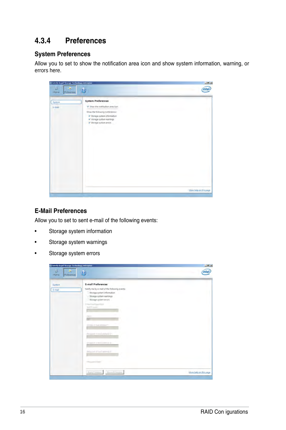# **4.3.4 Preferences**

#### **System Preferences**

Allow you to set to show the notification area icon and show system information, warning, or errors here.

| 2 Intell Rapid Strenge Technology enterprise<br>衷<br>- 51<br>Professorain<br><b>Home</b> | 取                                                                                                                                                                                            | $A$ $R$<br><b>Intel</b> |
|------------------------------------------------------------------------------------------|----------------------------------------------------------------------------------------------------------------------------------------------------------------------------------------------|-------------------------|
| System<br>$t$ -mai                                                                       | <b>System Preferences</b><br>V. Show the notification area losn<br>Show the following notifications:<br>V Storage system information<br>V storage system warrings<br>V Storage system errors |                         |
|                                                                                          |                                                                                                                                                                                              | Mare help on this page  |

#### **E-Mail Preferences**

Allow you to set to sent e-mail of the following events:

- Storage system information
- Storage system warnings
- Storage system errors

| 2 Tetel3 Stapid Strenge Technology enterprise             |                                                                                                                                                                                                                                                                                                                                                                            | $A$ $R$                |
|-----------------------------------------------------------|----------------------------------------------------------------------------------------------------------------------------------------------------------------------------------------------------------------------------------------------------------------------------------------------------------------------------------------------------------------------------|------------------------|
| 專<br>$\left( \frac{1}{2} \right)$<br>Home<br>Professorian | Đ                                                                                                                                                                                                                                                                                                                                                                          | intel.                 |
| System<br>E-mail                                          | <b>E-mail Preferences</b><br>Notify me by e-mail of the following events:<br>Storage system information<br>Storage system warnings<br>Stonge system entry<br><b>Constitution Constitution</b><br>SAITP (automo-<br>PHILS.<br>tor.<br><b>Under Front Abbands</b><br><b>Anywell</b> experienced in<br>(ruppert p-well politics) 2-<br>Inquiri Parl special<br>this and fore- |                        |
|                                                           | Any Johne, Bowl Dear                                                                                                                                                                                                                                                                                                                                                       | More help on this play |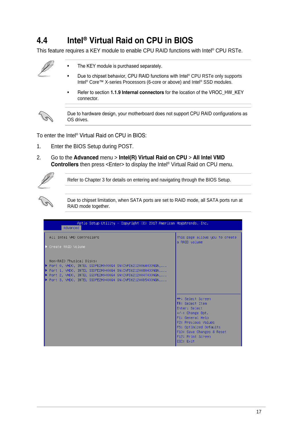# **4.4 Intel® Virtual Raid on CPU in BIOS**

This feature requires a KEY module to enable CPU RAID functions with Intel® CPU RSTe.



- The KEY module is purchased separately.
- Due to chipset behavior, CPU RAID functions with Intel® CPU RSTe only supports Intel® Core™ X-series Processors (6-core or above) and Intel® SSD modules.
- Refer to section **1.1.9 Internal connectors** for the location of the VROC\_HW\_KEY connector.



Due to hardware design, your motherboard does not support CPU RAID configurations as OS drives.

To enter the Intel® Virtual Raid on CPU in BIOS:

- 1. Enter the BIOS Setup during POST.
- 2. Go to the **Advanced** menu > **Intel(R) Virtual Raid on CPU** > **All Intel VMD Controllers** then press <Enter> to display the Intel® Virtual Raid on CPU menu.



Refer to Chapter 3 for details on entering and navigating through the BIOS Setup.



Due to chipset limitation, when SATA ports are set to RAID mode, all SATA ports run at RAID mode together.

| Aptio Setup Utility - Copyright (C) 2017 American Megatrends, Inc.<br>Advanced                                                                                                                                                                                               |                                                                                                                                                                                                                        |
|------------------------------------------------------------------------------------------------------------------------------------------------------------------------------------------------------------------------------------------------------------------------------|------------------------------------------------------------------------------------------------------------------------------------------------------------------------------------------------------------------------|
| All Intel VMD Controllers                                                                                                                                                                                                                                                    | This page allows you to create<br>a RAID volume                                                                                                                                                                        |
| Create RAID Volume                                                                                                                                                                                                                                                           |                                                                                                                                                                                                                        |
| Non-RAID Phusical Disks:<br>Port 0, VMD0, INTEL SSDPE2MX400G4 SN:CVPD6212006M400NGN,<br>P Port 1, VMDO, INTEL SSDPE2MX400G4 SN:CVPD6212008H400NGN,<br>P Port 2, VMDO, INTEL SSDPE2MX400G4 SN:CVPD6212004T400NGN,<br>Port 3, VMDO, INTEL SSDPE2MX400G4 SN:CVPD621200D5400NGN, | <b>**: Select Screen</b><br>↑↓: Select Item<br>Enter: Select<br>$+/-:$ Change Opt.<br>F1: General Help<br>F2: Previous Values<br>F5: Optimized Defaults<br>F10: Save Changes & Reset<br>F12: Print Screen<br>ESC: Exit |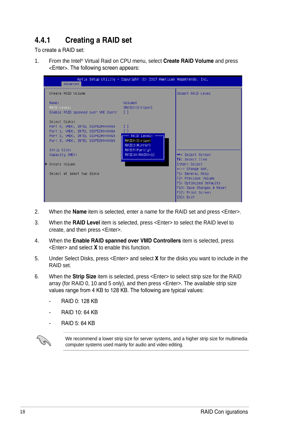# **4.4.1 Creating a RAID set**

To create a RAID set:

1. From the Intel® Virtual Raid on CPU menu, select **Create RAID Volume** and press <Enter>. The following screen appears:



- 2. When the **Name** item is selected, enter a name for the RAID set and press <Enter>.
- 3. When the **RAID Level** item is selected, press <Enter> to select the RAID level to create, and then press <Enter>.
- 4. When the **Enable RAID spanned over VMD Controllers** item is selected, press <Enter> and select **X** to enable this function.
- 5. Under Select Disks, press <Enter> and select **X** for the disks you want to include in the RAID set.
- 6. When the **Strip Size** item is selected, press <Enter> to select strip size for the RAID array (for RAID 0, 10 and 5 only), and then press <Enter>. The available strip size values range from 4 KB to 128 KB. The following are typical values:
	- RAID 0: 128 KB
	- RAID 10: 64 KB
	- RAID 5: 64 KB



We recommend a lower strip size for server systems, and a higher strip size for multimedia computer systems used mainly for audio and video editing.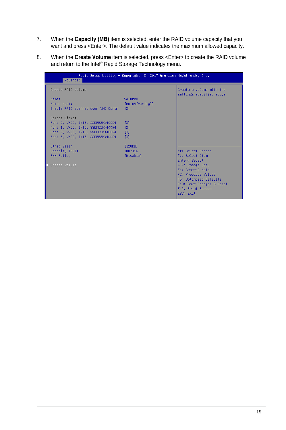- 7. When the **Capacity (MB)** item is selected, enter the RAID volume capacity that you want and press <Enter>. The default value indicates the maximum allowed capacity.
- 8. When the **Create Volume** item is selected, press <Enter> to create the RAID volume and return to the Intel® Rapid Storage Technology menu.

| Advanced                                                                                                                                                          | Aptio Setup Utility - Copyright (C) 2017 American Megatrends, Inc. |                                                                                                                                                                         |
|-------------------------------------------------------------------------------------------------------------------------------------------------------------------|--------------------------------------------------------------------|-------------------------------------------------------------------------------------------------------------------------------------------------------------------------|
| Create RAID Volume                                                                                                                                                |                                                                    | Create a volume with the<br>settings specified above                                                                                                                    |
| Name:<br>RAID Level:<br>Enable RAID spanned over VMD Contr                                                                                                        | VolumeO<br>[RAID5(Parity)]<br>[X]                                  |                                                                                                                                                                         |
| Select Disks:<br>Port 0, VMD0, INTEL SSDPE2MX400G4<br>Port 1, VMDO, INTEL SSDPE2MX400G4<br>Port 2, VMDO, INTEL SSDPE2MX400G4<br>Port 3, VMDO, INTEL SSDPE2MX400G4 | TX1<br>TX1<br>TX1<br>[X]                                           |                                                                                                                                                                         |
| Strip Size:                                                                                                                                                       | [128KB]                                                            |                                                                                                                                                                         |
| Capacity (MB):<br><b>RWH Policy</b>                                                                                                                               | 1087416<br>[Disable]                                               | <b>Ht: Select Screen</b><br>↑↓: Select Item                                                                                                                             |
| Create Volume                                                                                                                                                     |                                                                    | Enter: Select<br>$+/-:$ Change Opt.<br>F1: General Help<br>F2: Previous Values<br>F5: Optimized Defaults<br>F10: Save Changes & Reset<br>F12: Print Screen<br>ESC: Exit |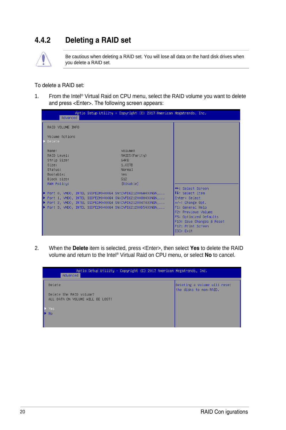### **4.4.2 Deleting a RAID set**



Be cautious when deleting a RAID set. You will lose all data on the hard disk drives when you delete a RAID set.

To delete a RAID set:

1. From the Intel® Virtual Raid on CPU menu, select the RAID volume you want to delete and press <Enter>. The following screen appears:

| Aptio Setup Utility – Copyright (C) 2017 American Megatrends, Inc.<br>Advanced                                                                                                                                                                   |                                                                                                                                                                                            |
|--------------------------------------------------------------------------------------------------------------------------------------------------------------------------------------------------------------------------------------------------|--------------------------------------------------------------------------------------------------------------------------------------------------------------------------------------------|
| RAID VOLUME INFO                                                                                                                                                                                                                                 |                                                                                                                                                                                            |
| Volume Actions<br>Delete                                                                                                                                                                                                                         |                                                                                                                                                                                            |
| VolumeO<br>Name:<br>RAID Level:<br>RAID5(Parity)<br>Strip Size:<br>64KB<br>Size:<br>1.03TB<br>Status:<br>Normal<br>Bootable:<br><b>Yes</b><br>Block size:<br>512<br><b>RWH Policy:</b><br>[Disable]                                              | <b>Ht: Select Screen</b>                                                                                                                                                                   |
| P Port 0, VMD0, INTEL SSDPE2MX400G4 SN:CVPD6212006M400NGN,<br>Port 1, VMD0, INTEL SSDPE2MX400G4 SN:CVPD6212008H400NGN,<br>P Port 2, VMDO, INTEL SSDPE2MX400G4 SN:CVPD6212004T400NGN,<br>Port 3, VMD0, INTEL SSDPE2MX400G4 SN:CVPD621200D5400NGN, | ↑↓: Select Item<br>Enter: Select<br>$+/-:$ Change Opt.<br>F1: General Help<br>F2: Previous Values<br>F5: Optimized Defaults<br>F10: Save Changes & Reset<br>F12: Print Screen<br>ESC: Exit |

2. When the **Delete** item is selected, press <Enter>, then select **Yes** to delete the RAID volume and return to the Intel® Virtual Raid on CPU menu, or select **No** to cancel.

| Aptio Setup Utility – Copyright (C) 2017 American Megatrends, Inc.<br>Advanced |                                                        |
|--------------------------------------------------------------------------------|--------------------------------------------------------|
| Delete                                                                         | Deleting a volume will reset<br>the disks to non-RAID. |
| Delete the RAID volume?<br>ALL DATA ON VOLUME WILL BE LOST!                    |                                                        |
| Yes<br>I <sub>No</sub>                                                         |                                                        |
|                                                                                |                                                        |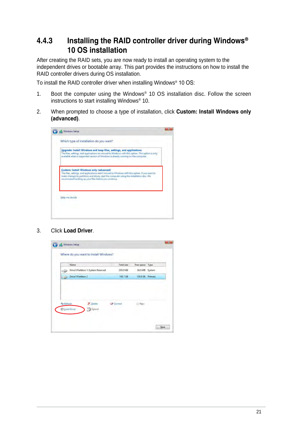### **4.4.3 Installing the RAID controller driver during Windows® 10 OS installation**

After creating the RAID sets, you are now ready to install an operating system to the independent drives or bootable array. This part provides the instructions on how to install the RAID controller drivers during OS installation.

To install the RAID controller driver when installing Windows® 10 OS:

- 1. Boot the computer using the Windows® 10 OS installation disc. Follow the screen instructions to start installing Windows® 10.
- 2. When prompted to choose a type of installation, click **Custom: Install Windows only (advanced)**.

| Custom: Install Windows only (advanced)<br>The files, settings, and applications aren't moved to Windows with this option. If you want to<br>make changes to partitions and drives, start the computer using the installation disc. We<br>recommend backing up your files before you continue. |
|------------------------------------------------------------------------------------------------------------------------------------------------------------------------------------------------------------------------------------------------------------------------------------------------|

3. Click **Load Driver**.

|                   | Name                                 | <b>Total</b> size | Free space Type  |  |
|-------------------|--------------------------------------|-------------------|------------------|--|
|                   | Drive 0 Partition 1: System Reserved | 350.0 MB          | 88.0 MB System   |  |
|                   | Drive 0 Partition 2                  | 148.7 GB          | 139.6 GB Primary |  |
| <b>Eg Refresh</b> | <b>X</b> Delete                      | <b>Ecempt</b>     | III New          |  |
|                   |                                      |                   |                  |  |